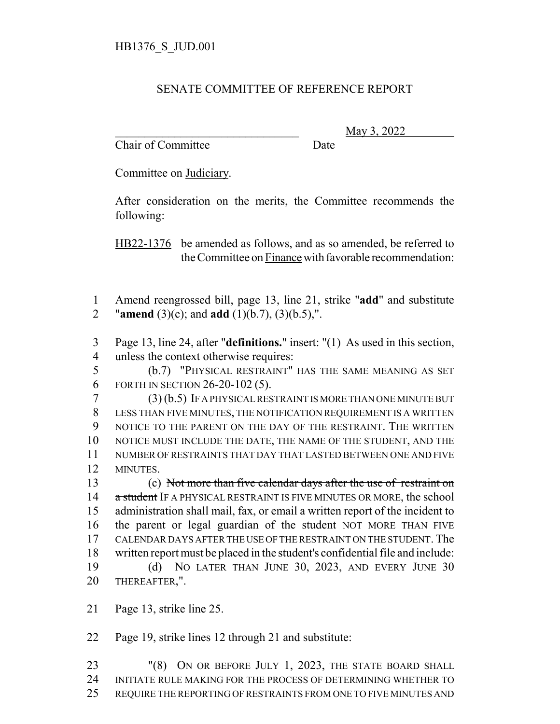## SENATE COMMITTEE OF REFERENCE REPORT

Chair of Committee Date

\_\_\_\_\_\_\_\_\_\_\_\_\_\_\_\_\_\_\_\_\_\_\_\_\_\_\_\_\_\_\_ May 3, 2022

Committee on Judiciary.

After consideration on the merits, the Committee recommends the following:

HB22-1376 be amended as follows, and as so amended, be referred to the Committee on Finance with favorable recommendation:

 Amend reengrossed bill, page 13, line 21, strike "**add**" and substitute "**amend** (3)(c); and **add** (1)(b.7), (3)(b.5),".

 Page 13, line 24, after "**definitions.**" insert: "(1) As used in this section, unless the context otherwise requires:

 (b.7) "PHYSICAL RESTRAINT" HAS THE SAME MEANING AS SET FORTH IN SECTION 26-20-102 (5).

 (3) (b.5) IF A PHYSICAL RESTRAINT IS MORE THAN ONE MINUTE BUT LESS THAN FIVE MINUTES, THE NOTIFICATION REQUIREMENT IS A WRITTEN NOTICE TO THE PARENT ON THE DAY OF THE RESTRAINT. THE WRITTEN NOTICE MUST INCLUDE THE DATE, THE NAME OF THE STUDENT, AND THE NUMBER OF RESTRAINTS THAT DAY THAT LASTED BETWEEN ONE AND FIVE MINUTES.

 (c) Not more than five calendar days after the use of restraint on 14 a student IF A PHYSICAL RESTRAINT IS FIVE MINUTES OR MORE, the school administration shall mail, fax, or email a written report of the incident to the parent or legal guardian of the student NOT MORE THAN FIVE CALENDAR DAYS AFTER THE USE OF THE RESTRAINT ON THE STUDENT. The written report must be placed in the student's confidential file and include: (d) NO LATER THAN JUNE 30, 2023, AND EVERY JUNE 30 THEREAFTER,".

Page 13, strike line 25.

Page 19, strike lines 12 through 21 and substitute:

 "(8) ON OR BEFORE JULY 1, 2023, THE STATE BOARD SHALL INITIATE RULE MAKING FOR THE PROCESS OF DETERMINING WHETHER TO REQUIRE THE REPORTING OF RESTRAINTS FROM ONE TO FIVE MINUTES AND